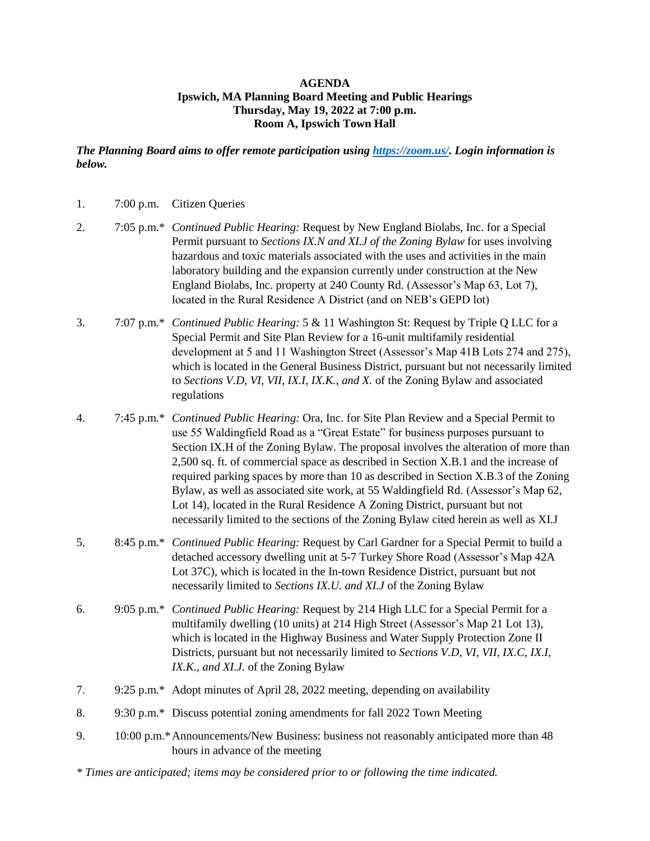## **AGENDA Ipswich, MA Planning Board Meeting and Public Hearings Thursday, May 19, 2022 at 7:00 p.m. Room A, Ipswich Town Hall**

*The Planning Board aims to offer remote participation using [https://zoom.us/.](https://zoom.us/) Login information is below.*

| 1. | $7:00$ p.m. | <b>Citizen Queries</b>                                                                                                                                                                                                                                                                                                                                                                                                                                                                                                                                                                                                                                                                                          |
|----|-------------|-----------------------------------------------------------------------------------------------------------------------------------------------------------------------------------------------------------------------------------------------------------------------------------------------------------------------------------------------------------------------------------------------------------------------------------------------------------------------------------------------------------------------------------------------------------------------------------------------------------------------------------------------------------------------------------------------------------------|
| 2. |             | 7:05 p.m.* Continued Public Hearing: Request by New England Biolabs, Inc. for a Special<br>Permit pursuant to Sections IX.N and XI.J of the Zoning Bylaw for uses involving<br>hazardous and toxic materials associated with the uses and activities in the main<br>laboratory building and the expansion currently under construction at the New<br>England Biolabs, Inc. property at 240 County Rd. (Assessor's Map 63, Lot 7),<br>located in the Rural Residence A District (and on NEB's GEPD lot)                                                                                                                                                                                                          |
| 3. |             | 7:07 p.m.* Continued Public Hearing: 5 & 11 Washington St: Request by Triple Q LLC for a<br>Special Permit and Site Plan Review for a 16-unit multifamily residential<br>development at 5 and 11 Washington Street (Assessor's Map 41B Lots 274 and 275),<br>which is located in the General Business District, pursuant but not necessarily limited<br>to Sections V.D, VI, VII, IX.I, IX.K., and X. of the Zoning Bylaw and associated<br>regulations                                                                                                                                                                                                                                                         |
| 4. |             | 7:45 p.m.* Continued Public Hearing: Ora, Inc. for Site Plan Review and a Special Permit to<br>use 55 Waldingfield Road as a "Great Estate" for business purposes pursuant to<br>Section IX.H of the Zoning Bylaw. The proposal involves the alteration of more than<br>2,500 sq. ft. of commercial space as described in Section X.B.1 and the increase of<br>required parking spaces by more than 10 as described in Section X.B.3 of the Zoning<br>Bylaw, as well as associated site work, at 55 Waldingfield Rd. (Assessor's Map 62,<br>Lot 14), located in the Rural Residence A Zoning District, pursuant but not<br>necessarily limited to the sections of the Zoning Bylaw cited herein as well as XI.J |
| 5. |             | 8:45 p.m.* Continued Public Hearing: Request by Carl Gardner for a Special Permit to build a<br>detached accessory dwelling unit at 5-7 Turkey Shore Road (Assessor's Map 42A<br>Lot 37C), which is located in the In-town Residence District, pursuant but not<br>necessarily limited to Sections IX.U. and XI.J of the Zoning Bylaw                                                                                                                                                                                                                                                                                                                                                                           |
| 6. |             | 9:05 p.m.* Continued Public Hearing: Request by 214 High LLC for a Special Permit for a<br>multifamily dwelling (10 units) at 214 High Street (Assessor's Map 21 Lot 13),<br>which is located in the Highway Business and Water Supply Protection Zone II<br>Districts, pursuant but not necessarily limited to Sections V.D, VI, VII, IX.C, IX.I,<br>IX.K., and XI.J. of the Zoning Bylaw                                                                                                                                                                                                                                                                                                                      |
| 7. |             | 9:25 p.m.* Adopt minutes of April 28, 2022 meeting, depending on availability                                                                                                                                                                                                                                                                                                                                                                                                                                                                                                                                                                                                                                   |
| 8. |             | 9:30 p.m.* Discuss potential zoning amendments for fall 2022 Town Meeting                                                                                                                                                                                                                                                                                                                                                                                                                                                                                                                                                                                                                                       |
| 9. |             | 10:00 p.m.* Announcements/New Business: business not reasonably anticipated more than 48<br>hours in advance of the meeting                                                                                                                                                                                                                                                                                                                                                                                                                                                                                                                                                                                     |

*\* Times are anticipated; items may be considered prior to or following the time indicated.*